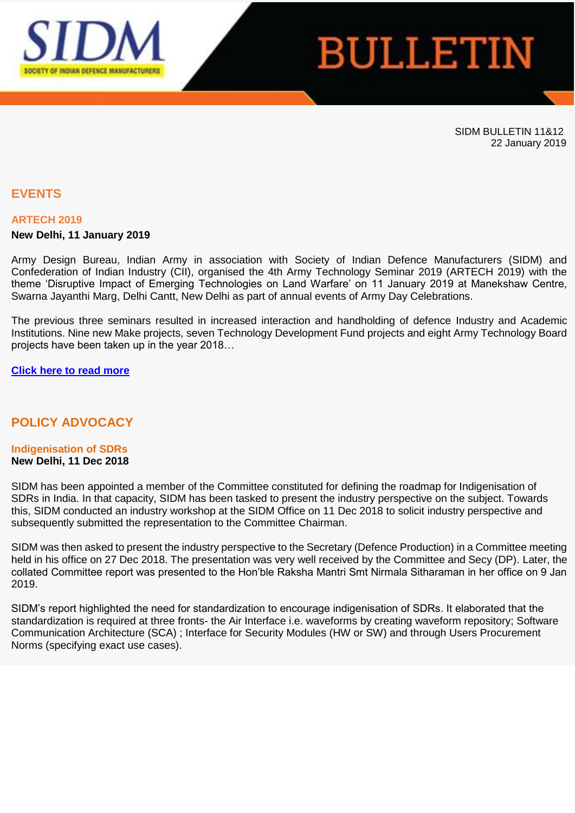

# **BULLETIN**

SIDM BULLETIN 11&12 22 January 2019

# **EVENTS**

#### **ARTECH 2019**

#### **New Delhi, 11 January 2019**

Army Design Bureau, Indian Army in association with Society of Indian Defence Manufacturers (SIDM) and Confederation of Indian Industry (CII), organised the 4th Army Technology Seminar 2019 (ARTECH 2019) with the theme 'Disruptive Impact of Emerging Technologies on Land Warfare' on 11 January 2019 at Manekshaw Centre, Swarna Jayanthi Marg, Delhi Cantt, New Delhi as part of annual events of Army Day Celebrations.

The previous three seminars resulted in increased interaction and handholding of defence Industry and Academic Institutions. Nine new Make projects, seven Technology Development Fund projects and eight Army Technology Board projects have been taken up in the year 2018…

#### **[Click here to read more](https://apac01.safelinks.protection.outlook.com/?url=http%3A%2F%2Femaila.ciimails.in%2Fciis%2Fltimdt.php%3Fid%3DLR5UUgZVBQgGUEpUCAAHUBg%3DU1ENUFRLX1RBRFxZXg90BgsNTF8P&data=02%7C01%7C%7C70caaad6c5b942d0ecd208d68106d98d%7Ce749ab1b73da4549a0cf1abb0ffbb817%7C0%7C0%7C636838263768046070&sdata=AK2VvYvZ5byOugUYEz3PknQmbRmnJZIac2upew2mOjM%3D&reserved=0)**

## **POLICY ADVOCACY**

# **Indigenisation of SDRs**

# **New Delhi, 11 Dec 2018**

SIDM has been appointed a member of the Committee constituted for defining the roadmap for Indigenisation of SDRs in India. In that capacity, SIDM has been tasked to present the industry perspective on the subject. Towards this, SIDM conducted an industry workshop at the SIDM Office on 11 Dec 2018 to solicit industry perspective and subsequently submitted the representation to the Committee Chairman.

SIDM was then asked to present the industry perspective to the Secretary (Defence Production) in a Committee meeting held in his office on 27 Dec 2018. The presentation was very well received by the Committee and Secy (DP). Later, the collated Committee report was presented to the Hon'ble Raksha Mantri Smt Nirmala Sitharaman in her office on 9 Jan 2019.

SIDM's report highlighted the need for standardization to encourage indigenisation of SDRs. It elaborated that the standardization is required at three fronts- the Air Interface i.e. waveforms by creating waveform repository; Software Communication Architecture (SCA) ; Interface for Security Modules (HW or SW) and through Users Procurement Norms (specifying exact use cases).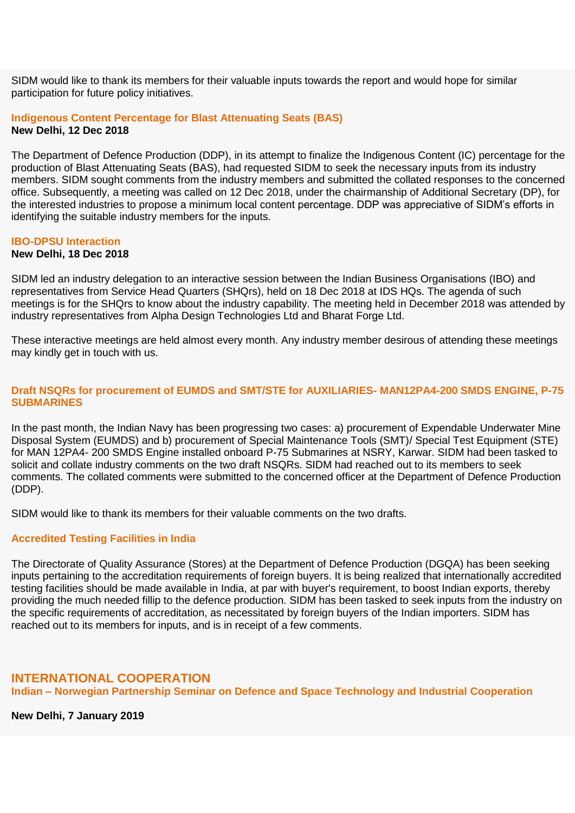SIDM would like to thank its members for their valuable inputs towards the report and would hope for similar participation for future policy initiatives.

#### **Indigenous Content Percentage for Blast Attenuating Seats (BAS) New Delhi, 12 Dec 2018**

The Department of Defence Production (DDP), in its attempt to finalize the Indigenous Content (IC) percentage for the production of Blast Attenuating Seats (BAS), had requested SIDM to seek the necessary inputs from its industry members. SIDM sought comments from the industry members and submitted the collated responses to the concerned office. Subsequently, a meeting was called on 12 Dec 2018, under the chairmanship of Additional Secretary (DP), for the interested industries to propose a minimum local content percentage. DDP was appreciative of SIDM's efforts in identifying the suitable industry members for the inputs.

#### **IBO-DPSU Interaction**

#### **New Delhi, 18 Dec 2018**

SIDM led an industry delegation to an interactive session between the Indian Business Organisations (IBO) and representatives from Service Head Quarters (SHQrs), held on 18 Dec 2018 at IDS HQs. The agenda of such meetings is for the SHQrs to know about the industry capability. The meeting held in December 2018 was attended by industry representatives from Alpha Design Technologies Ltd and Bharat Forge Ltd.

These interactive meetings are held almost every month. Any industry member desirous of attending these meetings may kindly get in touch with us.

#### **Draft NSQRs for procurement of EUMDS and SMT/STE for AUXILIARIES- MAN12PA4-200 SMDS ENGINE, P-75 SUBMARINES**

In the past month, the Indian Navy has been progressing two cases: a) procurement of Expendable Underwater Mine Disposal System (EUMDS) and b) procurement of Special Maintenance Tools (SMT)/ Special Test Equipment (STE) for MAN 12PA4- 200 SMDS Engine installed onboard P-75 Submarines at NSRY, Karwar. SIDM had been tasked to solicit and collate industry comments on the two draft NSQRs. SIDM had reached out to its members to seek comments. The collated comments were submitted to the concerned officer at the Department of Defence Production (DDP).

SIDM would like to thank its members for their valuable comments on the two drafts.

#### **Accredited Testing Facilities in India**

The Directorate of Quality Assurance (Stores) at the Department of Defence Production (DGQA) has been seeking inputs pertaining to the accreditation requirements of foreign buyers. It is being realized that internationally accredited testing facilities should be made available in India, at par with buyer's requirement, to boost Indian exports, thereby providing the much needed fillip to the defence production. SIDM has been tasked to seek inputs from the industry on the specific requirements of accreditation, as necessitated by foreign buyers of the Indian importers. SIDM has reached out to its members for inputs, and is in receipt of a few comments.

#### **INTERNATIONAL COOPERATION**

**Indian – Norwegian Partnership Seminar on Defence and Space Technology and Industrial Cooperation**

**New Delhi, 7 January 2019**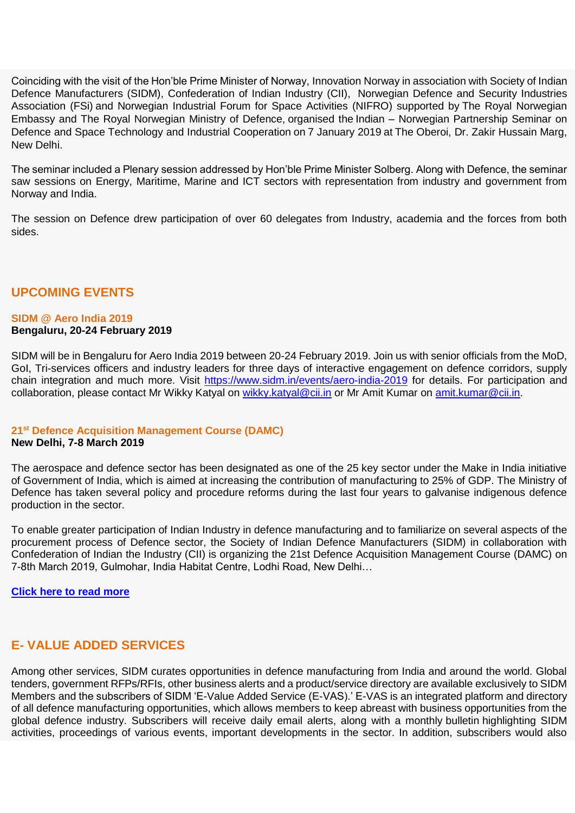Coinciding with the visit of the Hon'ble Prime Minister of Norway, Innovation Norway in association with Society of Indian Defence Manufacturers (SIDM), Confederation of Indian Industry (CII), Norwegian Defence and Security Industries Association (FSi) and Norwegian Industrial Forum for Space Activities (NIFRO) supported by The Royal Norwegian Embassy and The Royal Norwegian Ministry of Defence, organised the Indian – Norwegian Partnership Seminar on Defence and Space Technology and Industrial Cooperation on 7 January 2019 at The Oberoi, Dr. Zakir Hussain Marg, New Delhi.

The seminar included a Plenary session addressed by Hon'ble Prime Minister Solberg. Along with Defence, the seminar saw sessions on Energy, Maritime, Marine and ICT sectors with representation from industry and government from Norway and India.

The session on Defence drew participation of over 60 delegates from Industry, academia and the forces from both sides.

# **UPCOMING EVENTS**

# **SIDM @ Aero India 2019**

#### **Bengaluru, 20-24 February 2019**

SIDM will be in Bengaluru for Aero India 2019 between 20-24 February 2019. Join us with senior officials from the MoD, GoI, Tri-services officers and industry leaders for three days of interactive engagement on defence corridors, supply chain integration and much more. Visit [https://www.sidm.in/events/aero-india-2019](https://apac01.safelinks.protection.outlook.com/?url=http%3A%2F%2Femaila.ciimails.in%2Fciis%2Fltimdt.php%3Fid%3DLR5UUgZVBQgGU0pUCAAHUBg%3DU1ENUFRLX1RBRFxZXg90BgsNTF8P&data=02%7C01%7C%7C70caaad6c5b942d0ecd208d68106d98d%7Ce749ab1b73da4549a0cf1abb0ffbb817%7C0%7C0%7C636838263768056079&sdata=PL6AZNv9H6g9UVyQWJxPRuQFFT3yOUCmHNmeUU2nylo%3D&reserved=0) for details. For participation and collaboration, please contact Mr Wikky Katyal on [wikky.katyal@cii.in](mailto:wikky.katyal@cii.in) or Mr Amit Kumar on [amit.kumar@cii.in.](mailto:amit.kumar@cii.in)

# **21st Defence Acquisition Management Course (DAMC)**

## **New Delhi, 7-8 March 2019**

The aerospace and defence sector has been designated as one of the 25 key sector under the Make in India initiative of Government of India, which is aimed at increasing the contribution of manufacturing to 25% of GDP. The Ministry of Defence has taken several policy and procedure reforms during the last four years to galvanise indigenous defence production in the sector.

To enable greater participation of Indian Industry in defence manufacturing and to familiarize on several aspects of the procurement process of Defence sector, the Society of Indian Defence Manufacturers (SIDM) in collaboration with Confederation of Indian the Industry (CII) is organizing the 21st Defence Acquisition Management Course (DAMC) on 7-8th March 2019, Gulmohar, India Habitat Centre, Lodhi Road, New Delhi…

**[Click here to read more](https://apac01.safelinks.protection.outlook.com/?url=http%3A%2F%2Femaila.ciimails.in%2Fciis%2Fltimdt.php%3Fid%3DLR5UUgZVBQgGUkpUCAAHUBg%3DU1ENUFRLX1RBRFxZXg90BgsNTF8P&data=02%7C01%7C%7C70caaad6c5b942d0ecd208d68106d98d%7Ce749ab1b73da4549a0cf1abb0ffbb817%7C0%7C0%7C636838263768056079&sdata=UPw7DYvTBJv8lGC3k8vqSKubz0BNyXEyyCv5Mk3x6f8%3D&reserved=0)**

# **E- VALUE ADDED SERVICES**

Among other services, SIDM curates opportunities in defence manufacturing from India and around the world. Global tenders, government RFPs/RFIs, other business alerts and a product/service directory are available exclusively to SIDM Members and the subscribers of SIDM 'E-Value Added Service (E-VAS).' E-VAS is an integrated platform and directory of all defence manufacturing opportunities, which allows members to keep abreast with business opportunities from the global defence industry. Subscribers will receive daily email alerts, along with a monthly bulletin highlighting SIDM activities, proceedings of various events, important developments in the sector. In addition, subscribers would also